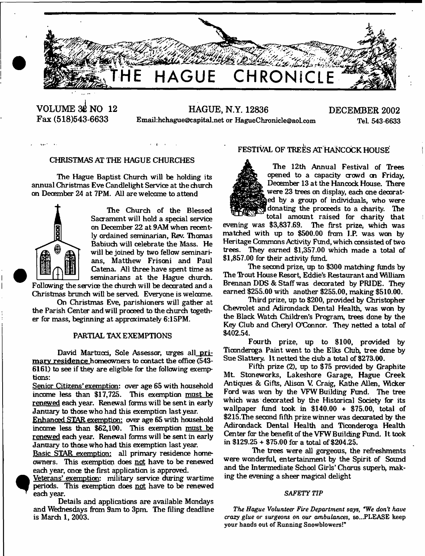

**VOLUME 3£ NO 12 Fax (518)543-6633**

**HAGUE, N.Y. 12836 DECEMBER 2002** Email:hchague@capital.net or [HagueChronicle@aol.com](mailto:HagueChronicle@aol.com) Tel. 543-6633

## CHRISTMAS AT THE HAGUE CHURCHES

The Hague Baptist Church will be holding its annual Christmas Eve Candlelight Service at the church on December 24 at 7PM. All are welcome to attend



 $\Delta$  and  $\Delta$ 

The Church of the Blessed Sacrament will hold a special service total amount total amount total amount total amount serves in December 22 at 0.0 M on December 22 at 9AM when recently ordained seminarian, Rev. Thomas Babiuch will celebrate the Mass. He will be joined by two fellow seminarians, Matthew Frisoni and Paul Catena. All three have spent time as seminarians at the Hague church. Following the service the church will be decorated and a seminarians at the Hague church.<br>Following the service the church will be decorated and a

Christmas brunch will be sewed. Everyone is welcome.

On Christmas Eve, parishioners will gather at the Parish Center and will proceed to the church together far mass, beginning at approximately 6:15PM.

### PARTIAL TAX EXEMPTIONS

David Martucci, Sole Assessor, urges all primary residence homeowners to contact the office (543-6161) to see if they are eligible fcr the following exemptions:

Senior Citizens' exemption: over age 65 with household income less than \$17,725. This exemption must be renewed each year. Renewal forms will be sent in early January to those who had this exemption last year.

Enhanced STAR exemption: over age 65 with household income less than \$62,100. This exemption must be renewed each year. Renewal forms will be sent in early January to those who had this exemption last year.

Basic STAR exemption: all primary residence homeowners. This exemption does not have to be renewed each year, once the first application is approved.

Veterans' exemption: military service during wartime periods. This exemption does not have to be renewed each vear.

Details and applications are available Mondays and Wednesdays from 9am to 3pm. The filing deadline is March 1, 2003.

# FESTIVAL OF TREES AT HANCOCK HOUSE

The 12th Annual Festival of Trees opened to a capacity crowd on Friday, December 13 at the Hancock House. There were 23 trees on display, each one decorated by a group of individuals, who were dona ting the proceeds to a charity. The total amount raised for charity that

The first prize, which was matched with up to \$500.00 from I.P. was won by Heritage Commons Activity Fund, which consisted of two trees. They earned \$1,357.00 which made a total of \$1,857.00 for their activity fund.

The second prize, up to \$300 matching funds by The Trout House Resort, Eddie's Restaurant and William Brennan DDS & Staff was decorated by PRIDE. They earned \$255.00 with another \$255.00, making \$510.00.

Third prize, up to \$200, provided by Christopher Chevrolet and Adirondack Dental Health, was won by the Black Watch Children's Program, trees done by the Key Club and Cheryl O'Connor. They netted a total of \$402.54.

Fourth prize, up to \$100, provided by Ticonderoga Paint went to the Elks Club, tree done by Sue Slattery. It netted the dub a total of \$273.00.

Fifth prize (2), up to \$75 provided by Graphite Mt. Stoneworks, Lakeshore Garage, Hague Creek Antiques & Gifts, Alison V. Craig, Kathe Allen, Wicker Ford was won by the VFW Building Fund. The tree which was decorated by the Historical Society for its wallpaper fund took in \$140.00 + \$75.00, total of \$215.The second fifth prizewinner was decorated by the Adirondack Dental Health and Ticonderoga Health Center far the benefit of the VFW Building Fund. It took in \$129.25 + \$75.00 far a total of \$204.25.

The trees were all gorgeous, the refreshments were wonderful, entertainment by the Spirit of Sound and the Intermediate School Girls' Chorus superb, making the evening a sheer magical delight

#### *SAFETY TIP*

*The Hague Volunteer Fire Department says, \*We don't have crazy glue or surgeons on our ambulances,* so...PLEASE keep your hands out of Running Snowblowers!"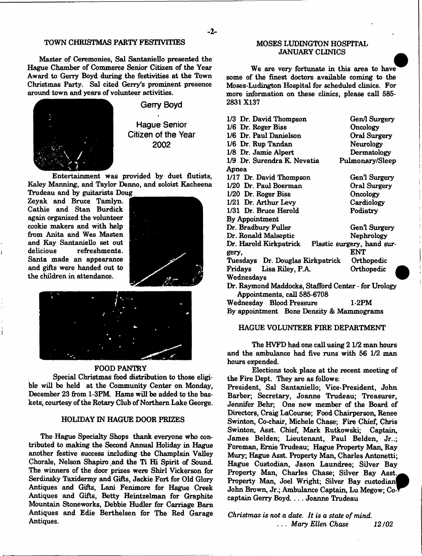Master of Ceremonies, Sal Santaniello presented the Hague Chamber of Commerce Senior Citizen of the Year Award to Gerry Boyd during the festivities at the Town Christmas Party. Sal cited Gerry's prominent presence around town and years of volunteer activities.



**Gerry Boyd**

**Hague Senior Citizen of the Year 2002**

Entertainment was provided by duet flutists, Kaley Manning, and Taylor Denno, and soloist Kacheena Trudeau and by guitarists Doug

Zeyak and Bruce Tamlyn. Cathie and Stan Burdick again organized the volunteer cookie makers and with help from Anita and Wes Masten and Kay Santaniello set out delicious refreshments. Santa made an appearance and gifts were handed out to the children in attendance.





#### FOOD PANTRY

Special Christmas food distribution to those eligible will be held at the Community Center on Monday, December 23 from 1-3PM. Hams will be added to the baskets, courtesy of the Rotary Club of Northern Lake George.

#### HOLIDAY IN HAGUE DOOR FRIZES

The Hague Specialty Shops thank everyone who contributed to making the Second Annual Holiday in Hague another festive success including the Champlain Valley Chorale, Nelson Shapiro .and the Ti Hi Spirit of Sound The winners of the door prizes were Shirl Vickerson for Serdinsky Taxidermy and Gifts, Jackie Fort for Old Glory Antiques and Gifts, Lani Fenimore for Hague Creek Antiques and Gifts, Betty Heintzelman for Graphite Mountain Stoneworks, Debbie Hudler for Carriage Barn Antiques and Edie Berthelsen for The Red Garage Antiques.

### MOSES LUDINGTON HOSPITAL JANUARY CLINICS

We are very fortunate in this area to have some of the finest doctors available coming to the Moses-Ludington Hospital for scheduled clinics. For more information on these clinics, please call 585- 2831X137

| 1/3 Dr. David Thompson                              | Gen/l Surgery              |
|-----------------------------------------------------|----------------------------|
| $1/6$ Dr. Roger Biss                                | Oncology                   |
| 1/6 Dr. Paul Danielson                              | Oral Surgery               |
| 1/6 Dr. Rup Tandan                                  | Neurology                  |
| 1/8 Dr. Jamie Alpert                                | Dermatology                |
| 1/9 Dr. Surendra K. Nevatia                         | Pulmonary/Sleep            |
| Apnea                                               |                            |
| 1/17 Dr. David Thompson                             | Gen'l Surgery              |
| 1/20 Dr. Paul Boerman                               | Oral Surgery               |
| $1/20$ Dr. Roger Biss                               | Oncology                   |
| 1/21 Dr. Arthur Levy                                | Cardiology                 |
| 1/31 Dr. Bruce Herold                               | Podiatry                   |
| By Appointment                                      |                            |
| Dr. Bradbury Fuller                                 | Gen'l Surgery              |
| Dr. Ronald Malseptic                                | Nephrology                 |
| Dr. Harold Kirkpatrick                              | Plastic surgery, hand sur- |
| gery,                                               | ENT                        |
| Tuesdays Dr. Douglas Kirkpatrick                    | Orthopedic                 |
| Fridays<br>Lisa Riley, P.A.                         | Orthopedic                 |
| Wednesdays                                          |                            |
| Dr. Raymond Maddocks, Stafford Center - for Urology |                            |
| Appointments, call 585-6708                         |                            |
| Wednesday Blood Pressure                            | 1-2PM                      |
| By appointment Bone Density & Mammograms            |                            |

#### HAGUE VOLUNTEER FIRE DEPARTMENT

The HVFD had one call using 21/2 man hours and the ambulance had five runs with 56 1/2 man hours expended.

Elections took place at the recent meeting of the Fire Dept. They are as follows:

President, Sal Santaniello; Vice-President, John Barber; Secretary, Joanne Trudeau; Treasurer, Jennifer Behr; One new member of the Board of Directors, Craig LaCourse; Food Chairperson, Renee Swinton, Co-chair, Michele Chase; Fire Chief, Chris Swinton, Asst. Chief, Mark Rutkowski; Captain, James Belden; Lieutenant, Paul Belden, Jr..; Foreman, Ernie Trudeau; Hague Property Man, Ray Mury; Hague Asst. Property Man, Charles Antonetti; Hague Custodian, Jason Laundree; Silver Bay Property Man, Charles Chase; Silver Bay Asst. Property Man, Joel Wright; Silver Bay custodian John Brown, Jr.; Ambulance Captain, Lu Megow; Cocaptain Gerry Boyd.. .. Joanne Trudeau

*Christmas is not a date. It is a state of mind.* . . . *Mary Ellen Chase 12/02*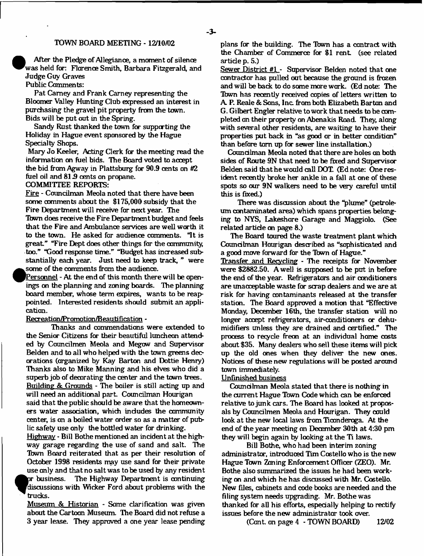#### TOWN BOARD MEETING -12/10/02

 $\frac{A}{\text{was}}$ After the Pledge of Allegiance, a moment of silence was held for: Florence Smith, Barbara Fitzgerald, and Judge Guy Graves

Public Comments:

Pat Carney and Frank Carney representing the Bloomer Valley Hunting Club expressed an interest in purchasing the gravel pit property from the town. Bids will be put out in the Spring.

Sandy Rust thanked the town for supporting the Holiday in Hague event sponsored by the Hague Specialty Shops.

Mary Jo Keeler, Acting Clerk for the meeting read the information on fuel bids. The Board voted to accept the bid from Agway in Plattsburg for 30.9 cents on #2 fuel oil and 81.9 cents on propane.

COMMITTEE REPORTS:

Fire - Councilman Meola noted that there have been some comments about the \$175,000 subsidy that the Fire Department will receive far next year. The Tbwn does receive the Fire Department budget and feels that the Fire and Ambulance services are well worth it to the town. He asked for audience comments. "It is great." "Fire Dept does other things for the community, too." "Good response time." "Budget has increased substantially each year. Just need to keep track, " were .some of the comments from the audience.

^Personnel - At the end of this month there will be openings on the planning and zoning boards. The planning board member, whose term expires, wants to be reappointed. Interested residents should submit an application.

#### Recreation/Promotion/Beautification -

Thanks and commendations were extended to the Senior Citizens for their beautiful luncheon attended by Councilmen Meola and Megow and Supervisor Belden and to all who helped with the town greens decorations (organized by Kay Barton and Dottie Henry) Thanks also to Mike Manning and his elves who did a superb job of decorating the center and the town trees. Building & Grounds - The boiler is still acting up and

will need an additional part. Councilman Hourigan said that the public should be aware that the homeowners water association, which indudes the community center, is on a boiled water order so as a matter of public safety use only the bottled water for drinking.

Highway - Bill Bothe mentioned an incident at the highway garage regarding the use of sand and salt. The Town Board reiterated that as per their resolution of October 1998 residents may use sand for their private use only and that no salt was to be used by any resident<br>or business. The Highway Department is continuing The Highway Department is continuing discussions with Wicker Ford about problems with the trucks.

Museum & Historian - Some clarification was given about the Cartoon Museum. The Board did not refuse a 3 year lease. They approved a one year lease pending plans for the building. The Tbwn has a contract with the Chamber of Commerce for \$1 rent. (see related artide p. 5.)

Sewer District #1 - Supervisor Belden noted that one contractor has pulled out because the ground is frozen and will be back to do same more work. (Ed note: The Tbwn has recently received copies of letters written to A. P. Reale & Sans, Inc. from both Elizabeth Barton and G. Gilbert Engler relative to work that needs to be  $com$ pleted an their property on Abenakis Road. They, along with several other residents, are waiting to have their properties put back in "as good or in better condition" than before tom up for sewer line installation.)

Councilman Meola noted that there are holes an both sides of Route 9N that need to be fixed and Supervisor Belden said that he would call DOT. (Ed note: One resident recently broke her ankle in a fall at one of these spots so cur 9N walkers need to be very careful until this is fixed.)

There was discussion about the "plume" (petroleum contaminated area) which spans properties belonging to NYS, Lakeshare Garage and Maggiolo. (See related artide on page 8.)

The Board toured the waste treatment plant which Coundtman Hourigan described as "sophisticated and a good move forward for the Tbwn of Hague."

Transfer and Recycling - The receipts for November were \$2882.50. A well is supposed to be put in before the end of the year. Refrigerators and air conditioners are unacceptable waste for scrap dealers and we are at risk for having contaminants released at the transfer station. The Board approved a motion that "Effective Monday, December 16th, the transfer station will no longer accept refrigerators, air-conditioners or dehumidifiers unless they are drained and certified." The process to recycle freon at an individual home costs about \$35. Many dealers who sell these items will pick up the old ones when they deliver the new ones. Notices of these new regulations will be posted around town immediately.

## Unfinished business

Councilman Meola stated that there is nothing in the current Hague Town Code which can be enforced relative to junk cars. The Board has looked at proposals by Councilmen Meola and Hourigan. They could look at the new local laws from Ticonderoga. At the end of theyear meeting cm December 30th at 4:30 pm they will begin again by looking at the Ti laws.

Bill Bothe, who had been interim zoning administrator, introduced Tim Costello who is the new Hague Town Zoning Enforcement Officer (ZEO). Mr. Bothe also summarized the issues he had been working on and which he has discussed with Mr. Costello. New files, cabinets and code books are needed and the filing system needs upgrading. Mr. Bothe was thanked for all his efforts, especially helping to rectify issues before the new administrator took over.

(Cont. on page 4 - TOWN BOARD) 12/02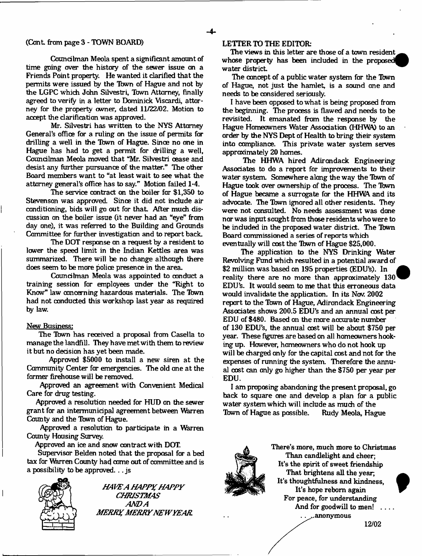#### (Cont. from page 3 - TOWN BOARD)

Councilman Meola spent a significant amount of time going over the history of the sewer issue on a Friends Point property. He wanted it clarified that the permits were issued by the Tbwn of Hague and not by the LGPC which John Silvestri, Town Attorney, finally agreed to verify in a letter to Dominick Viscardi, attorney for the property owner, dated 11/22/02. Motion to accept the clarification was approved.

Mr. Silvestri has written to the NYS Attorney General's office for a ruling on the issue of permits for drilling a well in the Tbwn of Hague. Since no one in Hague has had to get a permit for drilling a well, Councilman Meola moved that "Mr. Silvestri oease and desist any further pursuance of the matter." The other Board members want to "at least wait to see what the attorney general's office has to say." Motion failed 1-4.

The service contract on the boiler for \$1,350 to Stevenson was approved. Since it did not indude air conditioning, bids will go out for that. After much discussion on the boiler issue (it never had an "eye" from day one), it was referred to the Building and Grounds Committee for further investigation and to report back.

The DOT response on a request by a resident to lower the speed limit in the Indian Kettles area was summarized. There will be no change although there does seem to be more police presence in the area.

Councilman Meola was appointed to conduct a training session for employees under the "Right to Know" law concerning hazardous materials. The Tbwn had not conducted this workshop last year as required by law.

#### New Business:

The Tbwn has received a proposal from Casella to manage the landfill. They have met with them to review it but no decision has yet been made.

Approved \$5000 to install a new siren at the Community Center far emergencies. The old one at the former firehouse will be removed.

Approved an agreement with Convenient Medical Care for drug testing.

Approved a resolution needed for HUD on the sewer grant for an intermunicipal agreement between Warren County and the Tbwn of Hague.

Approved a resolution to participate in a Warren County Housing Survey.

Approved an ice and snow contract with DOT.

Supervisor Belden noted that the proposal for a bed tax for Warren County had come out of committee and is a possibility to be approved. .. js



*H AIEA HAPPY HAPPY CHRISTM AS AND A M ERRY M ERRY NEW YEAR*

### LETTER TO THE EDITOR:

The views in this letter are those of a town resident whose property has been included in the proposed water district.

The concept of a public water system for the Town of Hague, not just the hamlet, is a sound one and needs to be considered sariously.

I have been opposed to what is being proposed from the beginning. The process is flawed and needs to be revisited. It emanated from the response by the Hague Homeowners Water Association (HHWA) to an order by the NYS Dept of Health to bring their system into compliance. This private water system serves approximately 20 homes.

The HHWA hired Adirondack Engineering Associates to do a report for improvements to their water system. Somewhere along the way the Town of Hague took over ownership of the process. The Tbwn of Hague became a surrogate for the HHWA and its advocate. The Town ignored all other residents. They were not consulted. No needs assessment was done nor was input sought from those residents who were to be included in the proposed water district. The Tbwn Board commissioned a series of reports which eventually will cost the Tbwn of Hague \$25,000.

The application to the NYS Drinking Water Revolving Fund which resulted in a potential award of \$2 million was based on 195 properties (EDU's). In *t* reality there are no more than approximately 130 EDU's. It would seem to me that this erroneous data would invalidate the application. In its Nov. 2002 report to the Tbwn of Hague, Adirondack Engineering Associates shows 200.5 EDU's and an annual cost per EDU of \$480. Based on the mare accurate number of 130 EDU's, the annual cost will be about \$750 per year. These figures are based on all homeowners hooking up. However, homeowners who do not hook up will be charged only for the capital cost and not for the expenses of running the system. Therefore the annual cost can only go higher than the \$750 per year per EDU.

I am proposing abandoning the present proposal, go back to square one and develop a plan for a public water system which will include as much of the<br>Town of Hague as possible. Rudy Meola, Hague Town of Hague as possible.



There's more, much more to Christmas Than candlelight and cheer; It's the spirit of sweet friendship That brightens all the year, It's thoughtfulness and kindness. It's hope reborn again For peace, for understanding And for goodwill to men! .... .. ..anonymous

**12/02**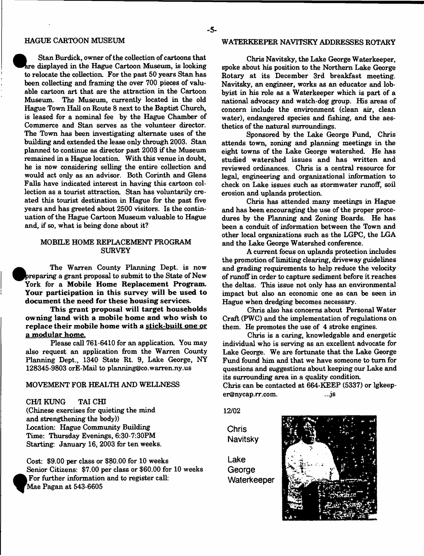Stan Burdick, owner of the collection of cartoons that are displayed in the Hague Cartoon Museum, is looking to relocate the collection. For the past 50 years Stan has been collecting and framing the over 700 pieces of valuable cartoon art that are the attraction in the Cartoon Museum. The Museum, currently located in the old Hague Town Hall on Route 8 next to the Baptist Church, is leased for a nominal fee by the Hague Chamber of Commerce and Stan serves as the volunteer director. The Town has been investigating alternate uses of the building and extended the lease only through 2003. Stan planned to continue as director past 2003 if the Museum remained in a Hague location. With this venue in doubt, he is now considering selling the entire collection and would act only as an advisor. Both Corinth and Glens Falls have indicated interest in having this cartoon collection as a tourist attraction. Stan has voluntarily created this tourist destination in Hague for the past five years and has greeted about 2500 visitors. Is the continuation of the Hague Cartoon Museum valuable to Hague and, if so, what is being done about it?

### MOBILE HOME REPLACEMENT PROGRAM **SURVEY**

The Warren County Planning Dept, is now ^Ppreparing a grant proposal to submit to the State of New York for a Mobile Home Replacement Program. Your participation in this survey will be used to document the need for these housing services.

This grant proposal will target households owning land with a mobile home and who wish to replace their mobile home with a stick-built one or a modular home.

Please call 761-6410 for an application. You may also request an application from the Warren County Planning Dept., 1340 State Rt. 9, Lake George, NY 128345-9803 orE-Mail to [planning@co.warren.ny.us](mailto:planning@co.warren.ny.us)

### MOVEMENT FOR HEALTH AND WELLNESS

CH/I RUNG TAI CHI (Chinese exercises for quieting the mind and strengthening the body)) Location: Hague Community Building Time: Thursday Evenings, 6:30-7:30PM Starting: January 16, 2003 for ten weeks.

**\***

Cost: \$9.00 per class or \$80.00 for 10 weeks Senior Citizens: \$7.00 per class or \$60.00 for 10 weeks For further information and to register call: Mae Pagan at 543-6605

## HAGUE CARTOON MUSEUM WATERKEEFER NAVITSKY ADDRESSES ROTARY

Chris Navitsky, the Lake George Waterkeeper, spoke about his position to the Northern Lake George Rotary at its December 3rd breakfast meeting. Navitsky, an engineer, works as an educator and lobbyist in his role as a Waterkeeper which is part of a national advocacy and watch-dog group. His areas of concern include the environment (clean air, clean water), endangered species and fishing, and the aesthetics of the natural surroundings.

Sponsored by the Lake George Fund, Chris attends town, zoning and planning meetings in the eight towns of the Lake George watershed. He has studied watershed issues and has written and reviewed ordinances. Chris is a central resource for legal, engineering and organizational information to check on Lake issues such as stormwater runoff, soil erosion and uplands protection.

Chris has attended many meetings in Hague and has been encouraging the use of the proper procedures by the Planning and Zoning Boards. He has been a conduit of information between the Town and other local organizations such as the LGPC, the LGA and the Lake George Watershed conference.

A current focus on uplands protection includes the promotion of limiting clearing, driveway guidelines and grading requirements to help reduce the velocity of runoff in order to capture sediment before it reaches the deltas. This issue not only has an environmental impact but also an economic one as can be seen in Hague when dredging becomes necessary.

Chris also has concerns about Personal Water Craft (PWC) and the implementation of regulations on them. He promotes the use of 4 stroke engines.

Chris is a caring, knowledgable and energetic individual who is serving as an excellent advocate for Lake George. We are fortunate that the Lake George Fund found him and that we have someone to turn for questions and suggestions about keeping our Lake and its surrounding area in a quality condition.

Chris can be contacted at 664-KEEP (5337) or lgkeep[er@nycap.rr.com.](mailto:er@nycap.rr.com) ...js

**12/02**

**Chris Navitsky**

**Lake George Waterkeeper**

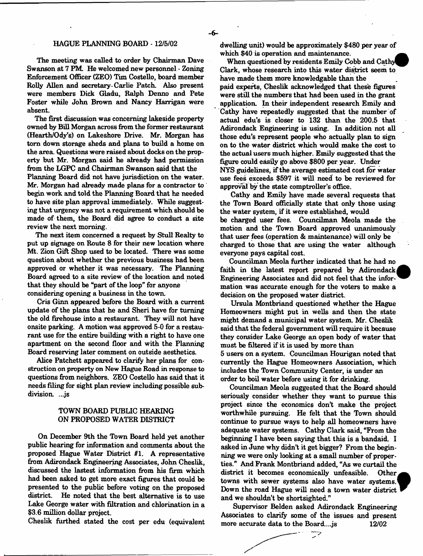### HAGUE PLANNING BOARD -12/5/02

The meeting was called to order by Chairman Dave Swanson at 7 PM He welcomed new personnel - Zoning Enforcement Officer (ZEO) Tim Costello, board member Roily Allen and secretary Carlie Patch. Also present were members Dick Gladu, Ralph Denno and Pete Foster while John Brown and Nancy Harrigan were absent.

The first discussion was concerning lakeside property owned by Bill Morgan across from the former restaurant (Hearth/Ody's) on Lakeshore Drive. Mr. Morgan has tom down storage sheds and plans to build a home on the area. Questions were raised about docks on the property but Mr. Morgan said he already had permission from the LGPC and Chairman Swanson said that the

Planning Board did not have jurisdiction on the water. Mr. Morgan had already made plans for a contractor to begin work and told the Planning Board that he needed to have site plan approval immediately. While suggesting that urgency was not a requirement which should be made of them, the Board did agree to conduct a site review the next morning.

The next item concerned a request by Stull Realty to put up signage on Route 8 for their new location where Mt. Zion Gift Shop used to be located. There was some question about whether the previous business had been approved or whether it was necessary. The Planning Board agreed to a site review of the location and noted that they should be "part of the loop" for anyone considering opening a business in the town.

Cris Ginn appeared before the Board with a current update of the plans that he and Sheri have for turning the old firehouse into a restaurant. They will not have onsite parking. A motion was approved 5-0 for a restaurant use for the entire building with a right to have one apartment on the second floor and with the Planning Board reserving later comment on outside aesthetics.

Alice Patchett appeared to clarify her plans for construction on property on New Hague Road in response to questions from neighbors. ZEO Costello has said that it needs filing for sight plan review including possible subdivision....js

### TOWN BOARD PUBLIC HEARING ON PROPOSED WATER DISTRICT

On December 9th the Town Board held yet another public hearing for information and comments about the proposed Hague Water District #1. A representative from Adirondack Engineering Associates, John Cheslik, discussed the lastest information from his firm which had been asked to get more exact figures that could be presented to the public before voting on the proposed district. He noted that the best alternative is to use Lake George water with filtration and chlorination in a \$3.6 million dollar project.

Cheslik furthed stated the cost per edu (equivalent

dwelling unit) would be approximately \$480 per year of which \$40 is operation and maintenance.

When questioned by residents Emily Cobb and Cathy Clark, whose research into this water district seem to have made them more knowledgable than the paid experts, Cheslik acknowledged that these figures were still the numbers that had been used in the grant application. In their independent research Emily and Cathy have repeatedly suggested that the number of actual edu's is closer to 132 than the 200.5 that Adirondack Engineering is using. In addition not all those edu's represent people who actually plan to sign on to the water district which would make the cost to the actual users much higher. Emily suggested that the figure could easily go above \$800 per year. Under NYS guidelines, if the average estimated cost for water use fees exceeds \$597 it will need to be reviewed for approval by the state comptroller's office.

Cathy and Emily have made several requests that the Town Board officially state that only those using the water system, if it were established, would be charged user fees. Councilman Meola made the motion and the Town Board approved unanimously that user fees (operation & maintenance) will only be charged to those that are using the water although everyone pays capital cost.

Councilman Meola further indicated that he had no faith in the latest report prepared by Adirondack Engineering Associates and did not feel that the information was accurate enough for the voters to make a decision on the proposed water district.

Ursula Montbriand questioned whether the Hague Homeowners might put in wells and then the state might demand a municipal water system. Mr. Cheslik said that the federal government will require it because they consider Lake George an open body of water that must be filtered if it is used by more than 5 users on a system. Councilman Hourigan noted that currently the Hague Homeowners Association, which includes the Town Community Center, is under an order to boil water before using it for drinking.

Councilman Meola suggested that the Board should seriously consider whether they want to pursue this project since the economics don't make the project worthwhile pursuing. He felt that the Town should continue to pursue ways to help all homeowners have adequate water systems. Cathy Clark said, "From the beginning I have been saying that this is a bandaid. I asked in June why didn't it get bigger? From the beginning we were only looking at a small number of properties." And Frank Montbriand added, "As we curtail the district it becomes economically unfeasible. Other towns with sewer systems also have water systems. Down the road Hague will need a town water district and we shouldn't be shortsighted."

Supervisor Belden asked Adirondack Engineering Associates to clarify some of the issues and present more accurate data to the Board.... is 12/02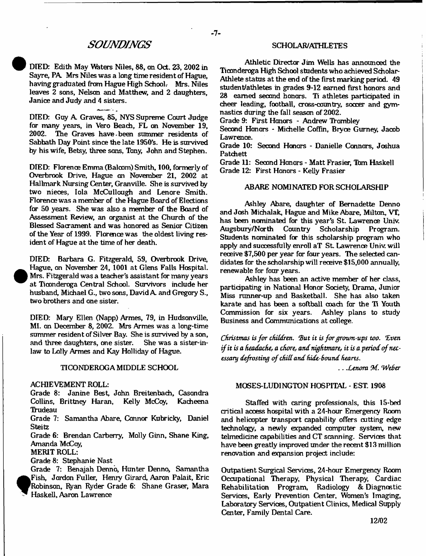## *SOUNDINGS*

DIED: Edith May Waters Niles, 88, on Oct. 23, 2002 in Sayre, PA. Mrs Niles was a long time resident of Hague, having graduated from Hague High School. Mrs. Niles leaves 2 sons, Nelson and Matthew, and 2 daughters, Janice and Judy and 4 sisters.

DIED: Guy A Graves, 85, NYS Supreme Court Judge for many years, in Vero Beach, FL on November 19,<br>2002. The Graves have been summer residents of The Graves have, been summer residents of Sabbath Day Point since the late 1950's. He is survived by his wife, Betsy, three sans, Tony, John and Stephen.

DIED: Florence Emma (Balcom) Smith, 100, formerly of Overbrook Drive, Hague on November 21, 2002 at Hallmark Nursing Center, Granville. She is survived by two nieces, Iola McCullough and Lenore Smith. Florence was a member of the Hague Board of Elections for 50 years. She was also a member of the Board of Assessment Review, an organist at the Church of the Blessed Sacrament and was honored as Senior Citizen of the Year of 1999. Florence was the oldest living resident of Hague at the time of her death.

DIED: Barbara G. Fitzgerald, 59, Overbrook Drive, Hague, on November 24, 1001 at Glens Falls Hospital. Mrs. Fitzgerald was a teacher's assistant for many years at Ticonderoga Central School. Survivors include her husband, Michael G., two sons, David A and Gregory S., two brothers and one sister.

DIED: Mary Ellen (Napp) Armes, 79, in Hudsonville, MI. an December 8, 2002. Mrs Armes was a long-time summer resident of Silver Bay. She is survived by a son,<br>and three daughters, one sister. She was a sister-inand three daughters, one sister. law to Lolly Armes and Kay Holliday of Hague.

#### TICONDEROGA MIDDLE SCHOOL

#### ACHIEVEMENT ROLL:

Grade 8: Janine Best, John Breitenbach, Casondra Collins, Brittney Haran, Kelly McCoy, Kacheena **Trudeau** 

Grade 7: Samantha Abare, Connor Kubricky, Daniel **Steitz** 

Grade 6: Brendan Carberry, Molly Ginn, Shane King, Amanda McCoy,

MERIT ROLL:

Grade 8: Stephanie Nast

Grade 7: Benajah Denno, Hunter Denno, Samantha Fish, Jordon Fuller, Henry Girard, Aaron Palait, Eric Robinson, Ryan Ryder Grade 6: Shane Graser, Mara Haskell, Aaron Lawrence

### SCHOLAR/ATHLETES

Athletic Director Jim Wells has announced the Ticonderoga High School students who achieved Scholar-Athlete status at the end of the first marking period. 49 student/athletes in grades 9-12 earned first honors and 28 earned second honors. Ti athletes participated in cheer leading, football, cross-country, soccer and gymnastics during the fall season of 2002.

Grade 9: First Honors - Andrew Trombley

Second Honors - Michelle Coffin, Bryce Gurney, Jacob Lawrence.

Grade 10: Second Honors - Danielle Connors, Joshua **Patchett** 

Grade 11: Second Honors - Matt Frasier, Tbm Haskell Grade 12: First Honors - Kelly Frasier

#### ABARE NOMINATED FOR SCHOLARSHIP

Ashley Abare, daughter of Bernadette Denno and Josh Michalak, Hague and Mike Abare, Milton, VT, has been nominated for this year's St. Lawrence Univ.<br>Augsbury/North Country Scholarship Program. Country Scholarship Program. Students nominated for this scholarship program who apply and successfully enroll aT St. Lawrence Univ. will receive \$7,500 per year far four years. The selected candidates for the scholarship will receive \$15,000 annually, renewable for four years.

Ashley has been an active member of her class, participating in National Honor Society, Drama, Junior Miss runner-up and Basketball. She has also taken karate and has been a softball coach for the Ti Youth<br>Commission for six years. Ashley plans to study Commission for six years. Business and Communications at college.

*Christmas is for children. But it is for grown-ups too. Even if it is a headache, a chore*, *and nightmare, it is a period of necessary defrosting of chid and hide-Sound hearts.*

*.. Xenom 9d. 'Weber*

## MOSES-LUDINGTON HOSPITAL - EST. 1908

Staffed with caring professionals, this 15-bed critical access hospital with a 24-hour Emergency Room and helicopter transport capability offers cutting edge technology, a newly expanded computer system, new telmedidne capabilities and CT scanning. Services that have been greatly improved under the recent \$13 million renovation and expansion project include:

Outpatient Surgical Services, 24-hour Emergency Room Occupational Therapy, Physical Therapy, Cardiac Rehabilitation Program, Radiology & Diagnostic Services, Early Prevention Center, Women's Imaging, Laboratory Services, Outpatient Clinics, Medical Supply Center, Family Dental Care.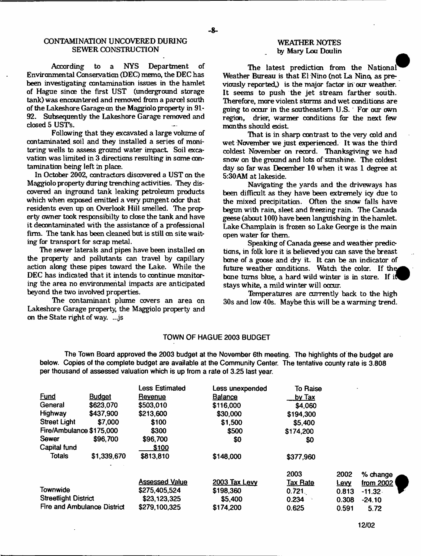According to a NYS Department of Environmental Conservation (DEC) memo, the DEC has been investigating contamination issues in the hamlet of Hague since the first UST (underground storage tank) was encountered and removed from a parcel south of the Lakeshore Garage an the Maggiolo property in 91- 92. Subsequently the Lakeshore Garage removed and closed 5 USTs.

Following that they excavated a large volume of contaminated soil and they installed a series of monitoring wells to assess ground water impact. Soil excavation was limited in 3 directions resulting in same contamination being left in place.

In October 2002, contractors discovered a UST on the Maggiolo property during trenching activities. They discovered an inground tank leaking petroleum products which when exposed emitted a very pungent odor that residents even up on Overlook Hill smelled. The property owner took responsibilty to dose the tank and have it decontaminated with the assistance of a professional firm. The tank has been cleaned but is still on site waiting for transport for scrap metal.

The sewer laterals and pipes have been installed on the property and pollutants can travel by capillary action along these pipes toward the Lake. While the DEC has indicated that it intends to continue monitoring the area no environmental impacts are anticipated beyond the two involved properties.

The contaminant plume covers an area on Lakeshore Garage property, the Maggiolo property and on the State right of way. ...js

#### WEATHER NOTES by Mary Lou Doulin

The latest prediction from the National Weather Bureau is that El Nino (not La Nino, as previously reported,) is the major factor in our weather. It seems to push the jet stream farther south. Therefore, more violent storms and wet conditions are going to occur in the southeastern U.S. For cur own region, drier, warmer conditions far the next few months should exist.

That is in sharp contrast to the very cold and wet November we just experienced. It was the third coldest November on record. Thanksgiving we had snow on the ground and lots of sunshine. The coldest day so far was December 10 when it was 1 degree at 5:30AM at lakeside.

Navigating the yards and the driveways has been difficult as they have been extremely icy due to the mixed precipitation. Often the snow falls have begun with rain, sleet and freezing rain. The Canada geese (about 100) have been languishing in thehamlet. Lake Champlain is frozen so Lake George is the main open water for them.

Speaking of Canada geese and weather predictions, in folk lore it is believed you can save the breast bane of a goose and dry it. It can be an indicator of future weather conditions. Watch the color. If the bone tums blue, a hard wild winter is in store. If stays white, a mild winter will occur.

Temperatures are currently hack to the high 30s and low 40s. Maybe this will be a warming trend.

#### TOWN OF HAGUE 2003 BUDGET

The Town Board approved the 2003 budget at the November 6th meeting. The highlights of the budget are below. Copies of the complete budget are available at the Community Center. The tentative county rate is 3.808 per thousand of assessed valuation which is up Irom a rate of 3.25 last year.

|                             |               | <b>Less Estimated</b> | Less unexpended      | To Raise        |            |           |
|-----------------------------|---------------|-----------------------|----------------------|-----------------|------------|-----------|
| <b>Fund</b>                 | <b>Budget</b> | <u>Revenue</u>        | <b>Balance</b>       | <u>by Tax</u>   |            |           |
| General                     | \$623,070     | \$503,010             | \$116,000            | \$4,060         |            |           |
| Highway                     | \$437,900     | \$213,600             | \$30,000             | \$194,300       |            |           |
| <b>Street Light</b>         | \$7,000       | \$100                 | \$1,500              | \$5,400         |            |           |
| Fire/Ambulance \$175,000    |               | \$300                 | \$500                | \$174,200       |            |           |
| Sewer                       | \$96,700      | \$96,700              | \$0                  | \$0             |            |           |
| Capital fund                |               | \$100                 |                      |                 |            |           |
| <b>Totals</b>               | \$1,339,670   | \$813,810             | \$148,000            | \$377,960       |            |           |
|                             |               |                       |                      | 2003            | 2002       | % change  |
|                             |               | <b>Assessed Value</b> | <b>2003 Tax Levy</b> | <b>Tax Rate</b> | <u>Lew</u> | from 2002 |
| Townwide                    |               | \$275,405,524         | \$198,360            | 0.721           | 0.813      | $-11.32$  |
| <b>Streetlight District</b> |               | \$23,123,325          | \$5,400              | 0.234           | 0.308      | $-24.10$  |
| Fire and Ambulance District |               | \$279,100,325         | \$174,200            | 0.625           | 0.591      | 5.72      |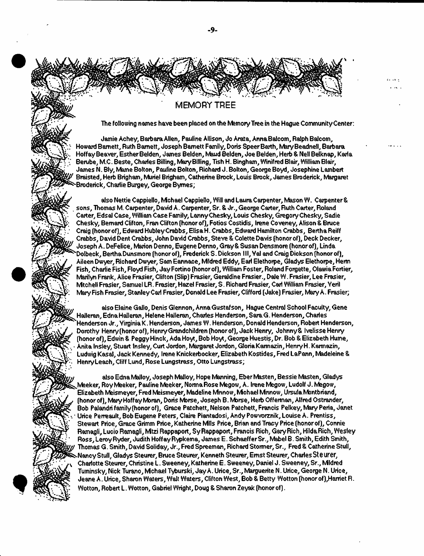**MEMORY TREE**

The following names have been placed on the Memory Tree in the Hague Community Center:

Jamie Achey, Barbara Allen, Pauline Allison, Jo Arata, Anna Balcom, Ralph Balcom, Howard Barnett, Ruth Bamett, Joseph Barnett Family, Doris Speer Barth, Mary Beadnell, Barbara Hoffay Beaver, Esther Belden, James Belden, Maud Belden, Joe Belden, Herb & Nell Belknap, Karla Berube, M.C. Beste, Charles Billing, Mary Billing, Tish H. Bingham, Winifred Blair, William Blair, James N. Bly, Marne Bolton, Pauline Bolton, Richard J. Bolton, George Boyd, Josephine Lambert Braisted, Herb Brigham, Muriel Brigham, Catherine Brock, Louis Brock, James Broderick, Margaret Broderick, Charlie Burgey, George Byrnes;

also Nettie Cappiello, Mchael Cappiello, Will and Laura Carpenter, Mason W. Carpenter & sons, Thomas M. Carpenter, David A. Carpenter, Sr. 8 Jr., George Carter, Ruth Carter, Roland Carter, Edsal Case, William Case Family, Lanny Chesky, Louis Chesky, Gregory Chesky, Sadie Chesky, Bernard Clifton, Fran Clifton (honor of), Fotios Costidis, Irene Coveney, Alison & Bruce Craig (honorof), Edward Hubley Crabbs, ElisaH. Crabbs, Edward Hamilton Crabbs, BerthaReiff Crabbs, David Dent Crabbs, John David Crabbs, Steve & Colette Davis (honor of), Deck Decker, Joseph A. DeFelice, Marion Denno, Eugene Denno, Gray 8 Susan Densmore (honor of), Linda Dolbeck, BerthaDunsmore (honorof), Frederick S. Dickson III, Val and Craig Dickson (honor of), Aileen Dwyer, Richard Dwyer, Sam Eannace, Mldred Eddy, Eari Elethorpe, Gladys Elethorpe, Herm Fish, Charlie Fish, Floyd Fish, Jay Fortino (honorof), William Foster, Roland Forgette, Olawia Fortier, Marilyn Frank, Alice Frasier, Clifton (Slip) Frasier, Geraldine Frasier., Dale W. Frasier, Lee Frasier, Mtchell Frasier, Samuel LR. Frasier, Hazel Frasier, S. Richard Frasier, Carl William Frasier, Yeril Mary Fish Frasier, Stanley Carl Frasier, Donald Lee Frasier, Clifford (Jake) Frasier, Mary A. Frasier;

also Elaine Gallo, Denis Glennon, Anna Gustafson, Hague Central School Faculty, Gene Halleran, EdnaHalleran, Helene Halleran, Charles Henderson, SaraG. Henderson, Charles Henderson Jr., VirginiaK. Henderson, James W. Henderson, Donald Henderson, Robert Henderson, Dorothy Henry (honor of), Henry Grandchildren (honor of), Jack Henry, Johnny& Ivelisse Henry (honor of), Edwin & Peggy Hinck, Ada Hoyt, Bob Hoyt, George Huestis, Dr. Bob & Elizabeth Hume, Anita Insley, Stuart tnsley, Curt Jordon, Margaret Jordon, Gloria Karmazin, Henry H. Karmazin, Ludwig Kasai, Jack Kennedy, Irene Knickerbocker, Elizabeth Kostides, Fred LaPann, Madeleine & Henry Leach, Cliff Lund, Rose Lungstrass, Otto Lungstrass;

also Edna Malloy, Joseph Malloy, Hope Manning, EberMasten, Bessie Masten, Gladys Meeker, Roy Meeker, Pauline Meeker, Norma Rose Megow, A. Irene Megow, Ludolf J.Megow, Elizabeth Meismeyer, Fred Meismeyer, Madeline Mnnow, Mchael Mnnow, Ursula Montbriand, (honor of), MaryHoffay Moran, Doris Morse, Joseph B. Morse, Herb Offerman, Alfred Ostrander, Bob Palandri family (honor of), Grace Patchett, Nelson Patched, Francis Pelkey, Mary Peria, Janet Urice Perreault, Bob Eugene Peters, Claire Piantadosi, Andy Powvorznik, Louise A. Prentiss, Stewart Price, Grace Grimm Price, Katherine Mils Price, Brian and Tracy Price (honor of), Connie Ramagli, Lucio Ramagli, Mtzi Rappaport, Sy Rappaport, Francis Rich, Gary Rich, Hilda Rich, Wesley Ross, Leroy Ryder, Judith Hoffay Rypkema, James E. Schaeffer Sr., Mabel B. Smith, Edith Smith, Thomas G. Smith, David Soliday, Jr., Fred Spreeman, Richard Stormer, Sr., Fred & Catherine Stull, Nancy Stull, Gladys Steurer, Btuce Steurer, Kenneth Steurer, Ernst Steurer, Charles Steurer, Charlotte Steurer, Christine L. Sweeney, Katherine E. Sweeney, Daniel J. Sweeney, Sr., Mldred Tuminsky, Nick Turano, Mchael Tyburski, Jay A. Urice, Sr., Marguerite N. Urice, George N. Urice, Jeane A. Urice, Sharon Waters, Walt Waters, Clifton West, Bob & Betty Wotton (honor of),Harriet R. Wotton, Robert L. Wotton, Gabriel Wright, Doug & Sharon Zeyak (honor of).

 $-9-$